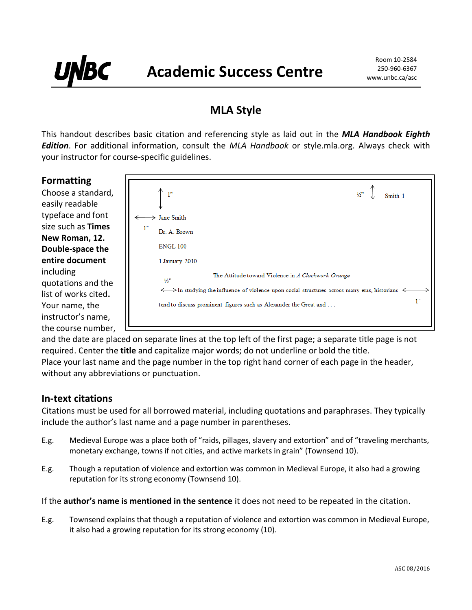# **MLA Style**

This handout describes basic citation and referencing style as laid out in the *MLA Handbook Eighth Edition*. For additional information, consult the *MLA Handbook* or style.mla.org. Always check with your instructor for course-specific guidelines.

# **Formatting**

BC

Choose a standard, easily readable typeface and font size such as **Times New Roman, 12. Double-space the entire document** including quotations and the list of works cited**.** Your name, the instructor's name, the course number,



and the date are placed on separate lines at the top left of the first page; a separate title page is not required. Center the **title** and capitalize major words; do not underline or bold the title. Place your last name and the page number in the top right hand corner of each page in the header, without any abbreviations or punctuation.

# **In-text citations**

Citations must be used for all borrowed material, including quotations and paraphrases. They typically include the author's last name and a page number in parentheses.

- E.g. Medieval Europe was a place both of "raids, pillages, slavery and extortion" and of "traveling merchants, monetary exchange, towns if not cities, and active markets in grain" (Townsend 10).
- E.g. Though a reputation of violence and extortion was common in Medieval Europe, it also had a growing reputation for its strong economy (Townsend 10).

#### If the **author's name is mentioned in the sentence** it does not need to be repeated in the citation.

E.g. Townsend explains that though a reputation of violence and extortion was common in Medieval Europe, it also had a growing reputation for its strong economy (10).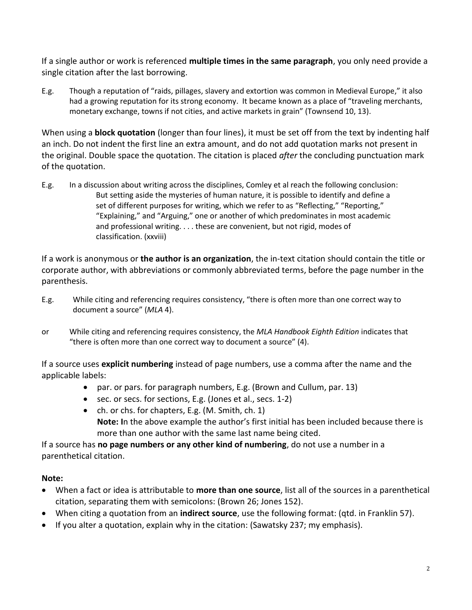If a single author or work is referenced **multiple times in the same paragraph**, you only need provide a single citation after the last borrowing.

E.g. Though a reputation of "raids, pillages, slavery and extortion was common in Medieval Europe," it also had a growing reputation for its strong economy. It became known as a place of "traveling merchants, monetary exchange, towns if not cities, and active markets in grain" (Townsend 10, 13).

When using a **block quotation** (longer than four lines), it must be set off from the text by indenting half an inch. Do not indent the first line an extra amount, and do not add quotation marks not present in the original. Double space the quotation. The citation is placed *after* the concluding punctuation mark of the quotation.

E.g. In a discussion about writing across the disciplines, Comley et al reach the following conclusion: But setting aside the mysteries of human nature, it is possible to identify and define a set of different purposes for writing, which we refer to as "Reflecting," "Reporting," "Explaining," and "Arguing," one or another of which predominates in most academic and professional writing. . . . these are convenient, but not rigid, modes of classification. (xxviii)

If a work is anonymous or **the author is an organization**, the in-text citation should contain the title or corporate author, with abbreviations or commonly abbreviated terms, before the page number in the parenthesis.

- E.g. While citing and referencing requires consistency, "there is often more than one correct way to document a source" (*MLA* 4).
- or While citing and referencing requires consistency, the *MLA Handbook Eighth Edition* indicates that "there is often more than one correct way to document a source" (4).

If a source uses **explicit numbering** instead of page numbers, use a comma after the name and the applicable labels:

- par. or pars. for paragraph numbers, E.g. (Brown and Cullum, par. 13)
- sec. or secs. for sections, E.g. (Jones et al., secs. 1-2)
- ch. or chs. for chapters, E.g. (M. Smith, ch. 1) **Note: I**n the above example the author's first initial has been included because there is more than one author with the same last name being cited.

If a source has **no page numbers or any other kind of numbering**, do not use a number in a parenthetical citation.

# **Note:**

- When a fact or idea is attributable to **more than one source**, list all of the sources in a parenthetical citation, separating them with semicolons: (Brown 26; Jones 152).
- When citing a quotation from an **indirect source**, use the following format: (qtd. in Franklin 57).
- If you alter a quotation, explain why in the citation: (Sawatsky 237; my emphasis).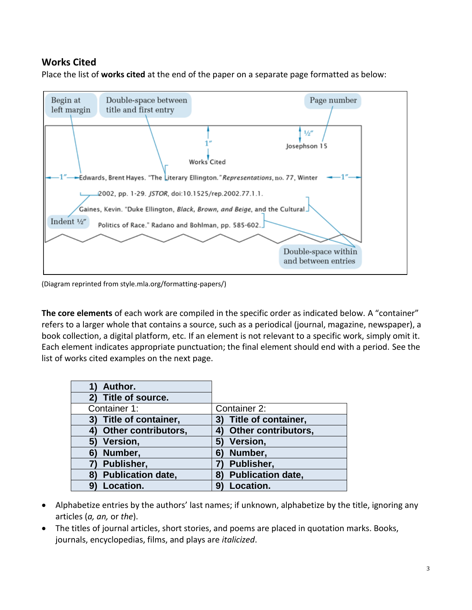# **Works Cited**

Place the list of **works cited** at the end of the paper on a separate page formatted as below:



(Diagram reprinted from style.mla.org/formatting-papers/)

**The core elements** of each work are compiled in the specific order as indicated below. A "container" refers to a larger whole that contains a source, such as a periodical (journal, magazine, newspaper), a book collection, a digital platform, etc. If an element is not relevant to a specific work, simply omit it. Each element indicates appropriate punctuation; the final element should end with a period. See the list of works cited examples on the next page.

| Author.                          |                                |
|----------------------------------|--------------------------------|
| 2) Title of source.              |                                |
| Container 1:                     | Container 2:                   |
| 3) Title of container,           | 3) Title of container,         |
| <b>Other contributors,</b><br>4) | 4) Other contributors,         |
| 5) Version,                      | 5)<br>Version,                 |
| Number,<br>6)                    | Number,<br>6)                  |
| Publisher,                       | Publisher,                     |
| <b>Publication date,</b><br>8)   | <b>Publication date,</b><br>8) |
| Location.<br>91                  | Location.<br>9)                |

- Alphabetize entries by the authors' last names; if unknown, alphabetize by the title, ignoring any articles (*a, an,* or *the*).
- The titles of journal articles, short stories, and poems are placed in quotation marks. Books, journals, encyclopedias, films, and plays are *italicized*.